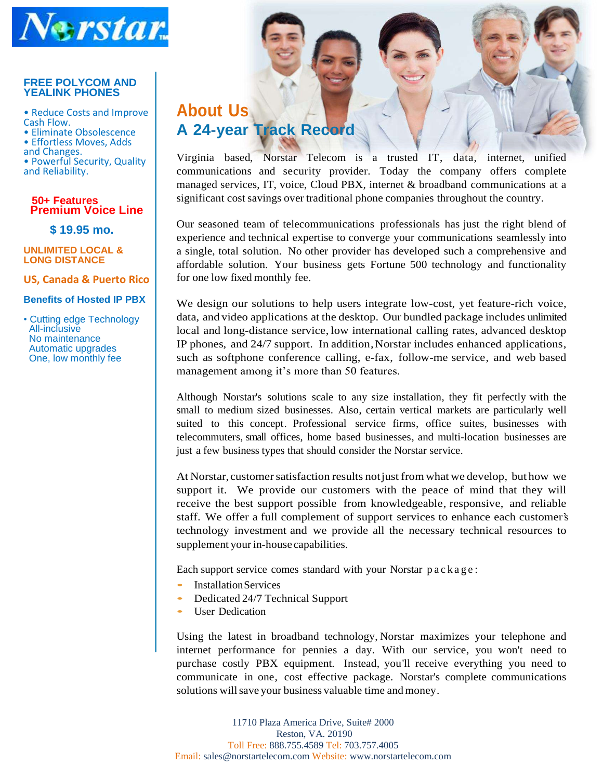

#### **FREE POLYCOM AND YEALINK PHONES**

• Reduce Costs and Improve Cash Flow.

• Eliminate Obsolescence • Effortless Moves, Adds and Changes. • Powerful Security, Quality and Reliability.

#### **50+ Features Premium Voice Line**

 **\$ 19.95 mo.**

**UNLIMITED LOCAL & LONG DISTANCE**

**US, Canada & Puerto Rico**

#### **Benefits of Hosted IP PBX**

• Cutting edge Technology All-inclusive No maintenance Automatic upgrades One, low monthly fee

# **About Us**

**A 24-year Track Record**

Virginia based, Norstar Telecom is a trusted IT, data, internet, unified communications and security provider. Today the company offers complete managed services, IT, voice, Cloud PBX, internet & broadband communications at a significant cost savings over traditional phone companies throughout the country.

Our seasoned team of telecommunications professionals has just the right blend of experience and technical expertise to converge your communications seamlessly into a single, total solution. No other provider has developed such a comprehensive and affordable solution. Your business gets Fortune 500 technology and functionality for one low fixed monthly fee.

We design our solutions to help users integrate low-cost, yet feature-rich voice, data, and video applications at the desktop. Our bundled package includes unlimited local and long-distance service, low international calling rates, advanced desktop IP phones, and 24/7 support. In addition,Norstar includes enhanced applications, such as softphone conference calling, e-fax, follow-me service, and web based management among it's more than 50 features.

Although Norstar's solutions scale to any size installation, they fit perfectly with the small to medium sized businesses. Also, certain vertical markets are particularly well suited to this concept. Professional service firms, office suites, businesses with telecommuters, small offices, home based businesses, and multi-location businesses are just a few business types that should consider the Norstar service.

At Norstar, customer satisfaction results not just from what we develop, but how we support it. We provide our customers with the peace of mind that they will receive the best support possible from knowledgeable, responsive, and reliable staff. We offer a full complement of support services to enhance each customer's technology investment and we provide all the necessary technical resources to supplement your in-house capabilities.

Each support service comes standard with your Norstar p a c k a g e :

- InstallationServices
- Dedicated 24/7 Technical Support
- User Dedication

Using the latest in broadband technology, Norstar maximizes your telephone and internet performance for pennies a day. With our service, you won't need to purchase costly PBX equipment. Instead, you'll receive everything you need to communicate in one, cost effective package. Norstar's complete communications solutions will save your business valuable time and money.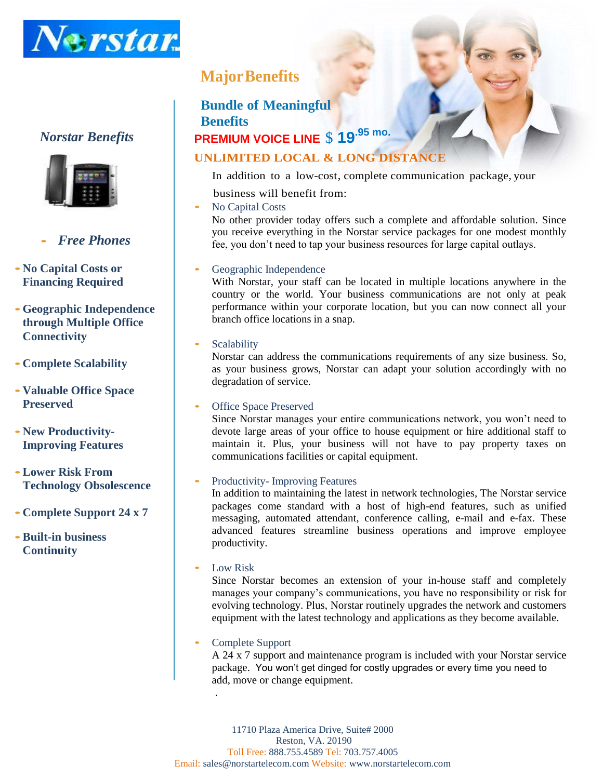

# *Norstar Benefits*



# • *Free Phones*

- •**No Capital Costs or Financing Required**
- •**Geographic Independence through Multiple Office Connectivity**
- •**Complete Scalability**
- •**Valuable Office Space Preserved**
- •**New Productivity-Improving Features**
- •**Lower Risk From Technology Obsolescence**
- •**Complete Support 24 x 7**
- •**Built-in business Continuity**

# **MajorBenefits**

# **Bundle of Meaningful Benefits PREMIUM VOICE LINE** \$ **19.95 mo.**

# **UNLIMITED LOCAL & LONG DISTANCE**

In addition to a low-cost, complete communication package, your

- business will benefit from:
- No Capital Costs

No other provider today offers such a complete and affordable solution. Since you receive everything in the Norstar service packages for one modest monthly fee, you don't need to tap your business resources for large capital outlays.

# Geographic Independence

With Norstar, your staff can be located in multiple locations anywhere in the country or the world. Your business communications are not only at peak performance within your corporate location, but you can now connect all your branch office locations in a snap.

# **Scalability**

Norstar can address the communications requirements of any size business. So, as your business grows, Norstar can adapt your solution accordingly with no degradation of service.

# **Office Space Preserved**

Since Norstar manages your entire communications network, you won't need to devote large areas of your office to house equipment or hire additional staff to maintain it. Plus, your business will not have to pay property taxes on communications facilities or capital equipment.

# Productivity- Improving Features

In addition to maintaining the latest in network technologies, The Norstar service packages come standard with a host of high-end features, such as unified messaging, automated attendant, conference calling, e-mail and e-fax. These advanced features streamline business operations and improve employee productivity.

# • Low Risk

Since Norstar becomes an extension of your in-house staff and completely manages your company's communications, you have no responsibility or risk for evolving technology. Plus, Norstar routinely upgrades the network and customers equipment with the latest technology and applications as they become available.

# • Complete Support

.

A 24 x 7 support and maintenance program is included with your Norstar service package. You won't get dinged for costly upgrades or every time you need to add, move or change equipment.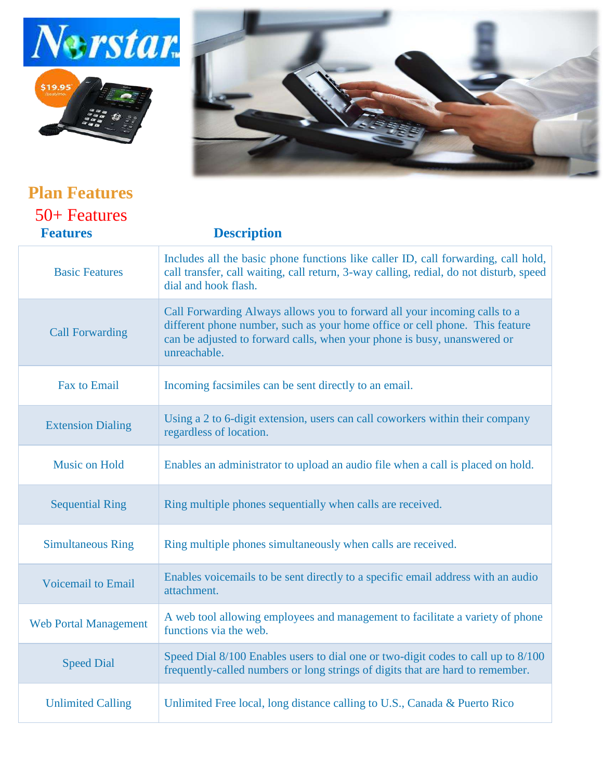





| <b>Plan Features</b>            |                                                                                                                                                                                                                                                       |  |
|---------------------------------|-------------------------------------------------------------------------------------------------------------------------------------------------------------------------------------------------------------------------------------------------------|--|
| 50+ Features<br><b>Features</b> | <b>Description</b>                                                                                                                                                                                                                                    |  |
| <b>Basic Features</b>           | Includes all the basic phone functions like caller ID, call forwarding, call hold,<br>call transfer, call waiting, call return, 3-way calling, redial, do not disturb, speed<br>dial and hook flash.                                                  |  |
| <b>Call Forwarding</b>          | Call Forwarding Always allows you to forward all your incoming calls to a<br>different phone number, such as your home office or cell phone. This feature<br>can be adjusted to forward calls, when your phone is busy, unanswered or<br>unreachable. |  |
| Fax to Email                    | Incoming facsimiles can be sent directly to an email.                                                                                                                                                                                                 |  |
| <b>Extension Dialing</b>        | Using a 2 to 6-digit extension, users can call coworkers within their company<br>regardless of location.                                                                                                                                              |  |
| <b>Music on Hold</b>            | Enables an administrator to upload an audio file when a call is placed on hold.                                                                                                                                                                       |  |
| <b>Sequential Ring</b>          | Ring multiple phones sequentially when calls are received.                                                                                                                                                                                            |  |
| <b>Simultaneous Ring</b>        | Ring multiple phones simultaneously when calls are received.                                                                                                                                                                                          |  |
| <b>Voicemail to Email</b>       | Enables voicemails to be sent directly to a specific email address with an audio<br>attachment.                                                                                                                                                       |  |
| <b>Web Portal Management</b>    | A web tool allowing employees and management to facilitate a variety of phone<br>functions via the web.                                                                                                                                               |  |
| <b>Speed Dial</b>               | Speed Dial 8/100 Enables users to dial one or two-digit codes to call up to 8/100<br>frequently-called numbers or long strings of digits that are hard to remember.                                                                                   |  |
| <b>Unlimited Calling</b>        | Unlimited Free local, long distance calling to U.S., Canada & Puerto Rico                                                                                                                                                                             |  |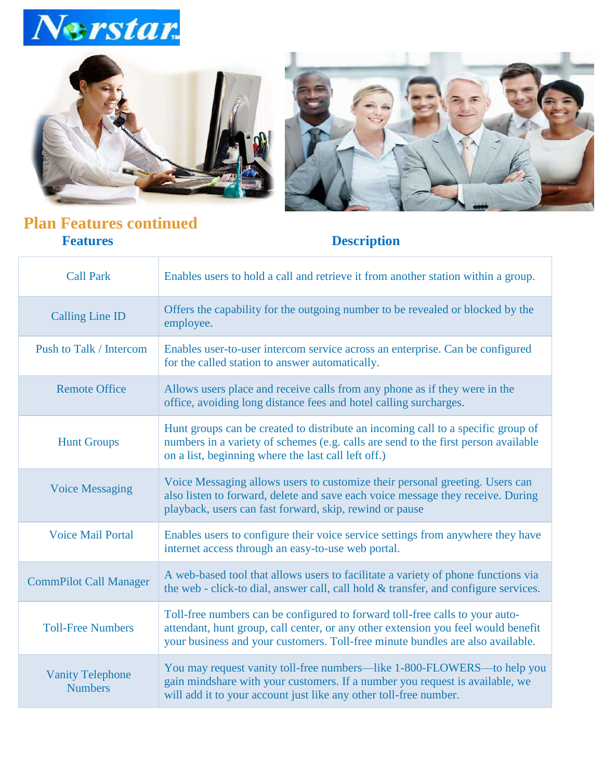





# **Plan Features continued<br>Features**

# **Description**

| <b>Call Park</b>                          | Enables users to hold a call and retrieve it from another station within a group.                                                                                                                                                                   |  |
|-------------------------------------------|-----------------------------------------------------------------------------------------------------------------------------------------------------------------------------------------------------------------------------------------------------|--|
| <b>Calling Line ID</b>                    | Offers the capability for the outgoing number to be revealed or blocked by the<br>employee.                                                                                                                                                         |  |
| Push to Talk / Intercom                   | Enables user-to-user intercom service across an enterprise. Can be configured<br>for the called station to answer automatically.                                                                                                                    |  |
| <b>Remote Office</b>                      | Allows users place and receive calls from any phone as if they were in the<br>office, avoiding long distance fees and hotel calling surcharges.                                                                                                     |  |
| <b>Hunt Groups</b>                        | Hunt groups can be created to distribute an incoming call to a specific group of<br>numbers in a variety of schemes (e.g. calls are send to the first person available<br>on a list, beginning where the last call left off.)                       |  |
| <b>Voice Messaging</b>                    | Voice Messaging allows users to customize their personal greeting. Users can<br>also listen to forward, delete and save each voice message they receive. During<br>playback, users can fast forward, skip, rewind or pause                          |  |
| <b>Voice Mail Portal</b>                  | Enables users to configure their voice service settings from anywhere they have<br>internet access through an easy-to-use web portal.                                                                                                               |  |
| <b>CommPilot Call Manager</b>             | A web-based tool that allows users to facilitate a variety of phone functions via<br>the web - click-to dial, answer call, call hold & transfer, and configure services.                                                                            |  |
| <b>Toll-Free Numbers</b>                  | Toll-free numbers can be configured to forward toll-free calls to your auto-<br>attendant, hunt group, call center, or any other extension you feel would benefit<br>your business and your customers. Toll-free minute bundles are also available. |  |
| <b>Vanity Telephone</b><br><b>Numbers</b> | You may request vanity toll-free numbers-like 1-800-FLOWERS-to help you<br>gain mindshare with your customers. If a number you request is available, we<br>will add it to your account just like any other toll-free number.                        |  |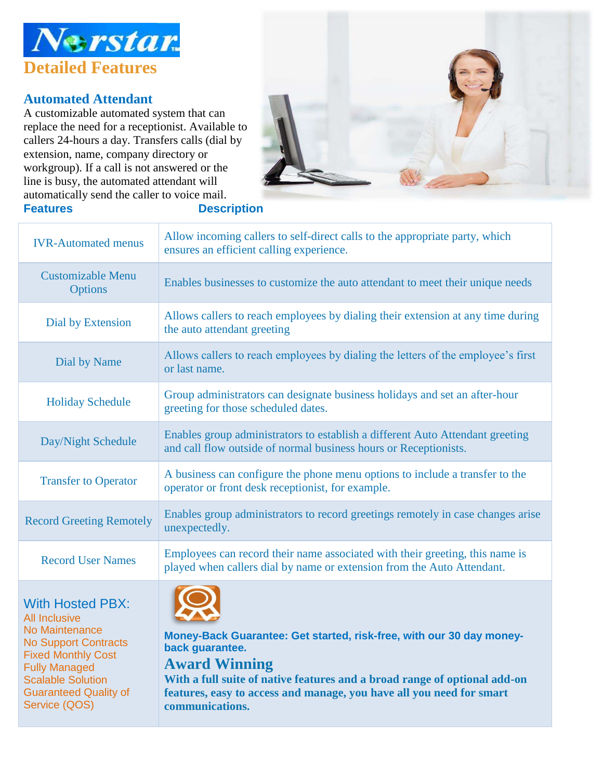

# **Automated Attendant**

Guaranteed Quality of

Service (QOS)

A customizable automated system that can replace the need for a receptionist. Available to callers 24-hours a day. Transfers calls (dial by extension, name, company directory or workgroup). If a call is not answered or the line is busy, the automated attendant will automatically send the caller to voice mail. **Features Description**



| <b>IVR-Automated menus</b>                                                                                                                                                        | Allow incoming callers to self-direct calls to the appropriate party, which<br>ensures an efficient calling experience.                                                                      |  |
|-----------------------------------------------------------------------------------------------------------------------------------------------------------------------------------|----------------------------------------------------------------------------------------------------------------------------------------------------------------------------------------------|--|
| <b>Customizable Menu</b><br><b>Options</b>                                                                                                                                        | Enables businesses to customize the auto attendant to meet their unique needs                                                                                                                |  |
| <b>Dial by Extension</b>                                                                                                                                                          | Allows callers to reach employees by dialing their extension at any time during<br>the auto attendant greeting                                                                               |  |
| Dial by Name                                                                                                                                                                      | Allows callers to reach employees by dialing the letters of the employee's first<br>or last name.                                                                                            |  |
| <b>Holiday Schedule</b>                                                                                                                                                           | Group administrators can designate business holidays and set an after-hour<br>greeting for those scheduled dates.                                                                            |  |
| Day/Night Schedule                                                                                                                                                                | Enables group administrators to establish a different Auto Attendant greeting<br>and call flow outside of normal business hours or Receptionists.                                            |  |
| <b>Transfer to Operator</b>                                                                                                                                                       | A business can configure the phone menu options to include a transfer to the<br>operator or front desk receptionist, for example.                                                            |  |
| <b>Record Greeting Remotely</b>                                                                                                                                                   | Enables group administrators to record greetings remotely in case changes arise<br>unexpectedly.                                                                                             |  |
| <b>Record User Names</b>                                                                                                                                                          | Employees can record their name associated with their greeting, this name is<br>played when callers dial by name or extension from the Auto Attendant.                                       |  |
| <b>With Hosted PBX:</b><br><b>All Inclusive</b><br>No Maintenance<br><b>No Support Contracts</b><br><b>Fixed Monthly Cost</b><br><b>Fully Managed</b><br><b>Scalable Solution</b> | Money-Back Guarantee: Get started, risk-free, with our 30 day money-<br>back guarantee.<br><b>Award Winning</b><br>With a full suite of native features and a broad range of optional add-on |  |

**With a full suite of native features and a broad range of optional add-on features, easy to access and manage, you have all you need for smart communications.**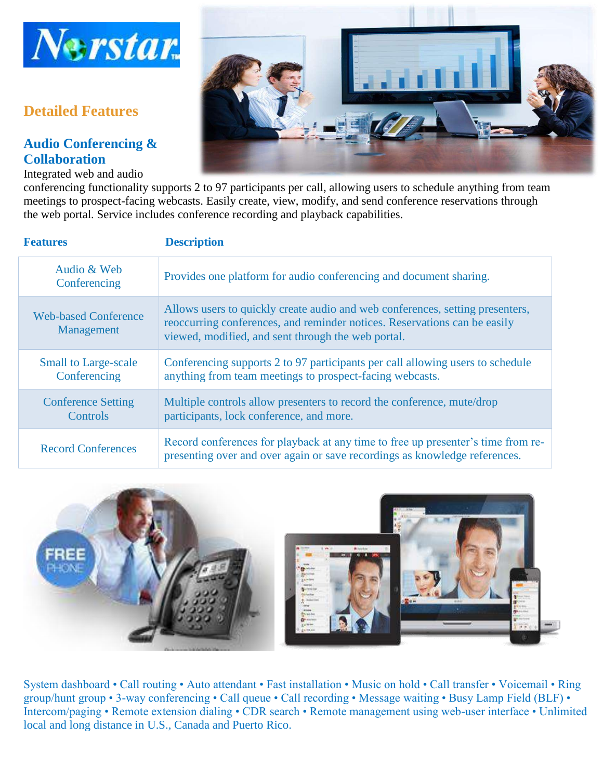

# **Detailed Features**

# **Audio Conferencing & Collaboration**

Integrated web and audio



conferencing functionality supports 2 to 97 participants per call, allowing users to schedule anything from team meetings to prospect-facing webcasts. Easily create, view, modify, and send conference reservations through the web portal. Service includes conference recording and playback capabilities.

| <b>Features</b>                             | <b>Description</b>                                                                                                                                                                                               |  |
|---------------------------------------------|------------------------------------------------------------------------------------------------------------------------------------------------------------------------------------------------------------------|--|
| Audio & Web<br>Conferencing                 | Provides one platform for audio conferencing and document sharing.                                                                                                                                               |  |
| <b>Web-based Conference</b><br>Management   | Allows users to quickly create audio and web conferences, setting presenters,<br>reoccurring conferences, and reminder notices. Reservations can be easily<br>viewed, modified, and sent through the web portal. |  |
| <b>Small to Large-scale</b><br>Conferencing | Conferencing supports 2 to 97 participants per call allowing users to schedule<br>anything from team meetings to prospect-facing webcasts.                                                                       |  |
| <b>Conference Setting</b><br>Controls       | Multiple controls allow presenters to record the conference, mute/drop<br>participants, lock conference, and more.                                                                                               |  |
| <b>Record Conferences</b>                   | Record conferences for playback at any time to free up presenter's time from re-<br>presenting over and over again or save recordings as knowledge references.                                                   |  |



System dashboard • Call routing • Auto attendant • Fast installation • Music on hold • Call transfer • Voicemail • Ring group/hunt group • 3-way conferencing • Call queue • Call recording • Message waiting • Busy Lamp Field (BLF) • Intercom/paging • Remote extension dialing • CDR search • Remote management using web-user interface • Unlimited local and long distance in U.S., Canada and Puerto Rico.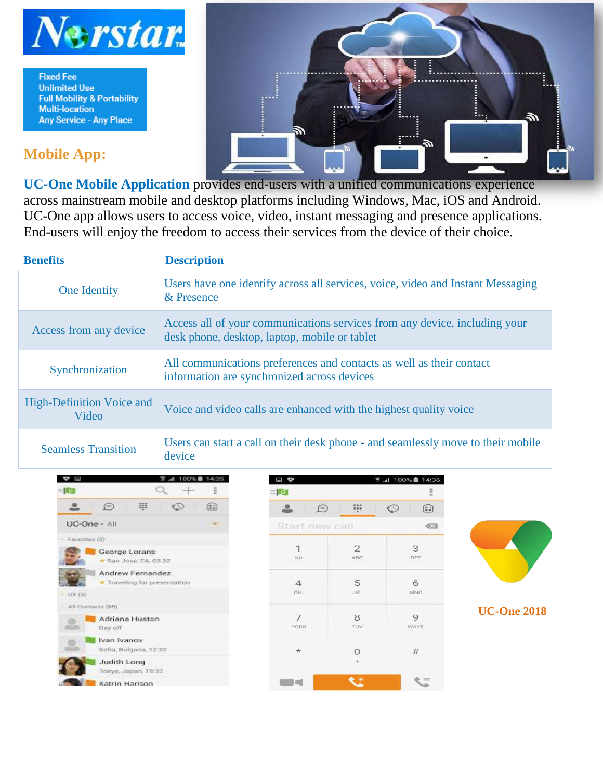

**Fixed Fee Unlimited Use Full Mobility & Portability Multi-location Any Service - Any Place** 

# **Mobile App:**



**UC-One Mobile Application** provides end-users with a unified communications experience across mainstream mobile and desktop platforms including Windows, Mac, iOS and Android. UC-One app allows users to access voice, video, instant messaging and presence applications. End-users will enjoy the freedom to access their services from the device of their choice.

| <b>Benefits</b>                    | <b>Description</b>                                                                                                          |  |
|------------------------------------|-----------------------------------------------------------------------------------------------------------------------------|--|
| One Identity                       | Users have one identify across all services, voice, video and Instant Messaging<br>& Presence                               |  |
| Access from any device             | Access all of your communications services from any device, including your<br>desk phone, desktop, laptop, mobile or tablet |  |
| Synchronization                    | All communications preferences and contacts as well as their contact<br>information are synchronized across devices         |  |
| High-Definition Voice and<br>Video | Voice and video calls are enhanced with the highest quality voice                                                           |  |
| <b>Seamless Transition</b>         | Users can start a call on their desk phone - and seamlessly move to their mobile<br>device                                  |  |



| 日や                               |                       | ₹ .d 100% 14:36                                                                  |
|----------------------------------|-----------------------|----------------------------------------------------------------------------------|
| $=$ $\blacksquare$               |                       | $\frac{1}{2}$                                                                    |
| $\bigcirc$<br>≗                  | m                     | $\mathbb{Q}$<br>$\left[ \begin{matrix} 1 & 0 \\ 0 & 1 \end{matrix} \right]$<br>w |
| Start new call                   |                       | $\leftarrow$                                                                     |
| $\mathbf 1$<br>$\alpha$ $\alpha$ | $\overline{2}$<br>ABC | 3<br>DEF                                                                         |
| $\Delta$<br>GHI.                 | 5<br><b>JKI</b>       | 6<br>MNO                                                                         |
| $\overline{I}$<br>PORS           | 8<br>TUV              | 9<br>WXYZ                                                                        |
| $\star$                          | 0                     | #                                                                                |
| m e                              |                       |                                                                                  |



**UC-One 2018**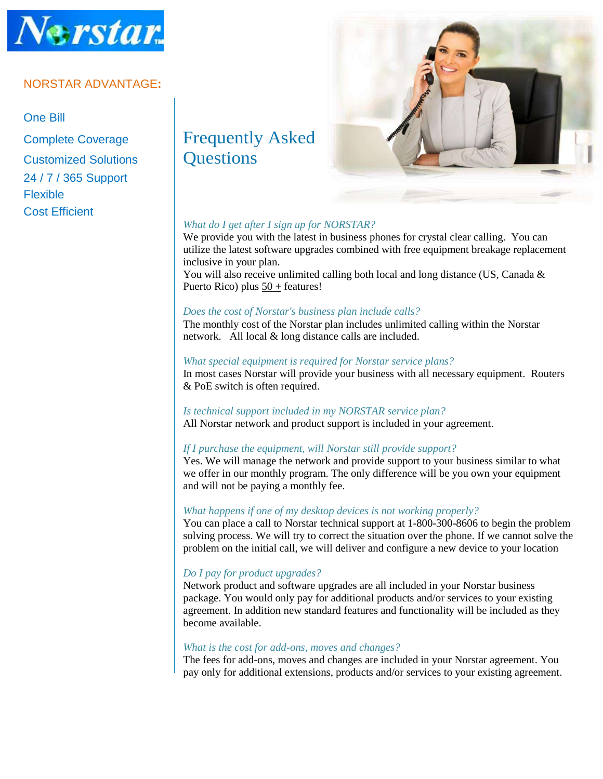

# NORSTAR ADVANTAGE**:**

# One Bill

Customized Solutions | Questions 24 / 7 / 365 Support Flexible Cost Efficient

# Complete Coverage Frequently Asked



# *What do I get after I sign up for NORSTAR?*

We provide you with the latest in business phones for crystal clear calling. You can utilize the latest software upgrades combined with free equipment breakage replacement inclusive in your plan.

You will also receive unlimited calling both local and long distance (US, Canada & Puerto Rico) plus  $50 +$  features!

#### *Does the cost of Norstar's business plan include calls?*

The monthly cost of the Norstar plan includes unlimited calling within the Norstar network. All local & long distance calls are included.

#### *What special equipment is required for Norstar service plans?*

In most cases Norstar will provide your business with all necessary equipment. Routers & PoE switch is often required.

# *Is technical support included in my NORSTAR service plan?*

All Norstar network and product support is included in your agreement.

# *If I purchase the equipment, will Norstar still provide support?*

Yes. We will manage the network and provide support to your business similar to what we offer in our monthly program. The only difference will be you own your equipment and will not be paying a monthly fee.

# *What happens if one of my desktop devices is not working properly?*

You can place a call to Norstar technical support at 1-800-300-8606 to begin the problem solving process. We will try to correct the situation over the phone. If we cannot solve the problem on the initial call, we will deliver and configure a new device to your location

# *Do I pay for product upgrades?*

Network product and software upgrades are all included in your Norstar business package. You would only pay for additional products and/or services to your existing agreement. In addition new standard features and functionality will be included as they become available.

# *What is the cost for add-ons, moves and changes?*

The fees for add-ons, moves and changes are included in your Norstar agreement. You pay only for additional extensions, products and/or services to your existing agreement.